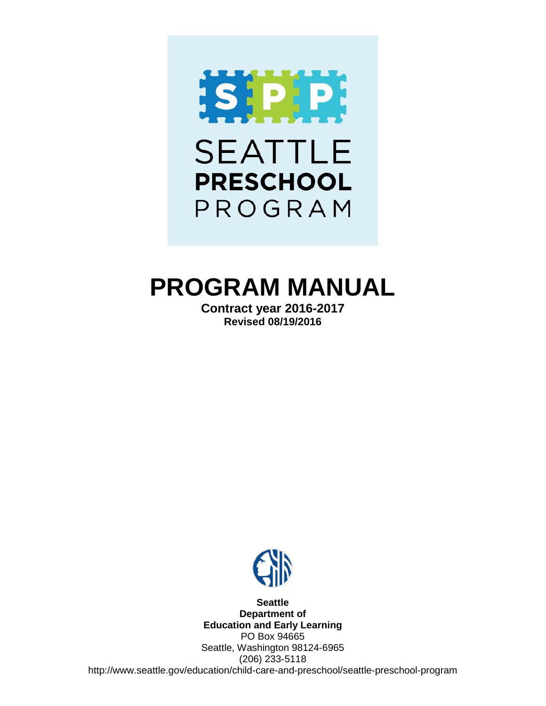

# **PROGRAM MANUAL**

**Contract year 2016-2017 Revised 08/19/2016**



**Seattle Department of Education and Early Learning** PO Box 94665 Seattle, Washington 98124-6965 (206) 233-5118 http://www.seattle.gov/education/child-care-and-preschool/seattle-preschool-program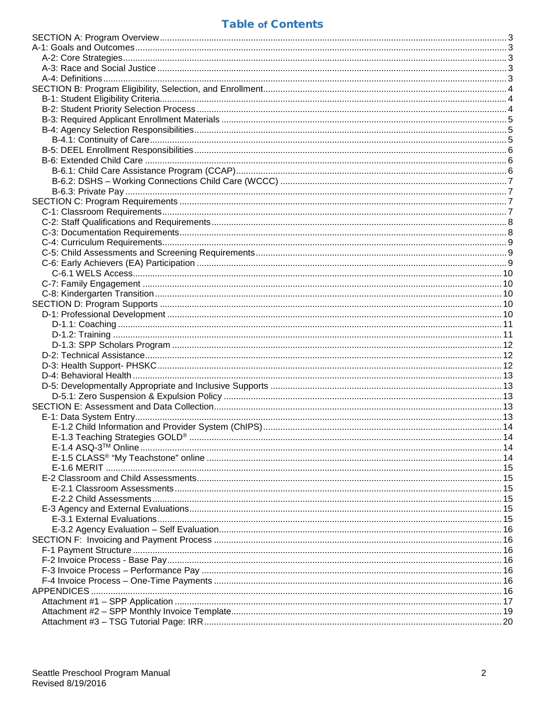# **Table of Contents**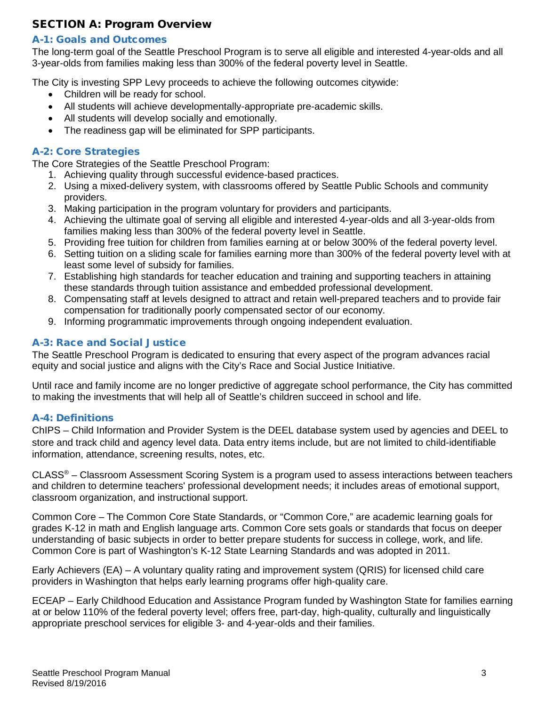# <span id="page-2-0"></span>SECTION A: Program Overview

# <span id="page-2-1"></span>A-1: Goals and Outcomes

The long-term goal of the Seattle Preschool Program is to serve all eligible and interested 4-year-olds and all 3-year-olds from families making less than 300% of the federal poverty level in Seattle.

The City is investing SPP Levy proceeds to achieve the following outcomes citywide:

- Children will be ready for school.
- All students will achieve developmentally-appropriate pre-academic skills.
- All students will develop socially and emotionally.
- The readiness gap will be eliminated for SPP participants.

# <span id="page-2-2"></span>A-2: Core Strategies

The Core Strategies of the Seattle Preschool Program:

- 1. Achieving quality through successful evidence-based practices.
- 2. Using a mixed-delivery system, with classrooms offered by Seattle Public Schools and community providers.
- 3. Making participation in the program voluntary for providers and participants.
- 4. Achieving the ultimate goal of serving all eligible and interested 4-year-olds and all 3-year-olds from families making less than 300% of the federal poverty level in Seattle.
- 5. Providing free tuition for children from families earning at or below 300% of the federal poverty level.
- 6. Setting tuition on a sliding scale for families earning more than 300% of the federal poverty level with at least some level of subsidy for families.
- 7. Establishing high standards for teacher education and training and supporting teachers in attaining these standards through tuition assistance and embedded professional development.
- 8. Compensating staff at levels designed to attract and retain well-prepared teachers and to provide fair compensation for traditionally poorly compensated sector of our economy.
- 9. Informing programmatic improvements through ongoing independent evaluation.

# <span id="page-2-3"></span>A-3: Race and Social Justice

The Seattle Preschool Program is dedicated to ensuring that every aspect of the program advances racial equity and social justice and aligns with the City's Race and Social Justice Initiative.

Until race and family income are no longer predictive of aggregate school performance, the City has committed to making the investments that will help all of Seattle's children succeed in school and life.

#### <span id="page-2-4"></span>A-4: Definitions

ChIPS – Child Information and Provider System is the DEEL database system used by agencies and DEEL to store and track child and agency level data. Data entry items include, but are not limited to child-identifiable information, attendance, screening results, notes, etc.

CLASS® – Classroom Assessment Scoring System is a program used to assess interactions between teachers and children to determine teachers' professional development needs; it includes areas of emotional support, classroom organization, and instructional support.

Common Core – The Common Core State Standards, or "Common Core," are academic learning goals for grades K-12 in math and English language arts. Common Core sets goals or standards that focus on deeper understanding of basic subjects in order to better prepare students for success in college, work, and life. Common Core is part of Washington's K-12 State Learning Standards and was adopted in 2011.

Early Achievers (EA) – A voluntary quality rating and improvement system (QRIS) for licensed child care providers in Washington that helps early learning programs offer high-quality care.

ECEAP – Early Childhood Education and Assistance Program funded by Washington State for families earning at or below 110% of the federal poverty level; offers free, part-day, high-quality, culturally and linguistically appropriate preschool services for eligible 3- and 4-year-olds and their families.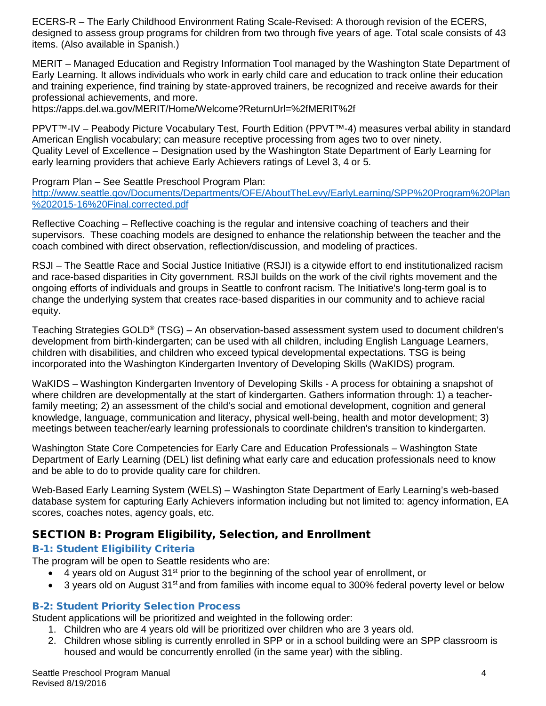ECERS-R – The Early Childhood Environment Rating Scale-Revised: A thorough revision of the ECERS, designed to assess group programs for children from two through five years of age. Total scale consists of 43 items. (Also available in Spanish.)

MERIT – Managed Education and Registry Information Tool managed by the Washington State Department of Early Learning. It allows individuals who work in early child care and education to track online their education and training experience, find training by state-approved trainers, be recognized and receive awards for their professional achievements, and more.

https://apps.del.wa.gov/MERIT/Home/Welcome?ReturnUrl=%2fMERIT%2f

PPVT™-IV – Peabody Picture Vocabulary Test, Fourth Edition (PPVT™-4) measures verbal ability in standard American English vocabulary; can measure receptive processing from ages two to over ninety. Quality Level of Excellence – Designation used by the Washington State Department of Early Learning for early learning providers that achieve Early Achievers ratings of Level 3, 4 or 5.

Program Plan – See Seattle Preschool Program Plan:

[http://www.seattle.gov/Documents/Departments/OFE/AboutTheLevy/EarlyLearning/SPP%20Program%20Plan](http://www.seattle.gov/Documents/Departments/OFE/AboutTheLevy/EarlyLearning/SPP%20Program%20Plan%202015-16%20Final.corrected.pdf) [%202015-16%20Final.corrected.pdf](http://www.seattle.gov/Documents/Departments/OFE/AboutTheLevy/EarlyLearning/SPP%20Program%20Plan%202015-16%20Final.corrected.pdf)

Reflective Coaching – Reflective coaching is the regular and intensive coaching of teachers and their supervisors. These coaching models are designed to enhance the relationship between the teacher and the coach combined with direct observation, reflection/discussion, and modeling of practices.

RSJI – The Seattle Race and Social Justice Initiative (RSJI) is a citywide effort to end institutionalized racism and race-based disparities in City government. RSJI builds on the work of the civil rights movement and the ongoing efforts of individuals and groups in Seattle to confront racism. The Initiative's long-term goal is to change the underlying system that creates race-based disparities in our community and to achieve racial equity.

Teaching Strategies GOLD® (TSG) – An observation-based assessment system used to document children's development from birth-kindergarten; can be used with all children, including English Language Learners, children with disabilities, and children who exceed typical developmental expectations. TSG is being incorporated into the Washington Kindergarten Inventory of Developing Skills (WaKIDS) program.

WaKIDS – Washington Kindergarten Inventory of Developing Skills - A process for obtaining a snapshot of where children are developmentally at the start of kindergarten. Gathers information through: 1) a teacherfamily meeting; 2) an assessment of the child's social and emotional development, cognition and general knowledge, language, communication and literacy, physical well-being, health and motor development; 3) meetings between teacher/early learning professionals to coordinate children's transition to kindergarten.

Washington State Core Competencies for Early Care and Education Professionals – Washington State Department of Early Learning (DEL) list defining what early care and education professionals need to know and be able to do to provide quality care for children.

Web-Based Early Learning System (WELS) – Washington State Department of Early Learning's web-based database system for capturing Early Achievers information including but not limited to: agency information, EA scores, coaches notes, agency goals, etc.

# <span id="page-3-0"></span>SECTION B: Program Eligibility, Selection, and Enrollment

# <span id="page-3-1"></span>B-1: Student Eligibility Criteria

The program will be open to Seattle residents who are:

- 4 years old on August 31<sup>st</sup> prior to the beginning of the school year of enrollment, or
- 3 years old on August 31<sup>st</sup> and from families with income equal to 300% federal poverty level or below

#### <span id="page-3-2"></span>B-2: Student Priority Selection Process

Student applications will be prioritized and weighted in the following order:

- 1. Children who are 4 years old will be prioritized over children who are 3 years old.
- 2. Children whose sibling is currently enrolled in SPP or in a school building were an SPP classroom is housed and would be concurrently enrolled (in the same year) with the sibling.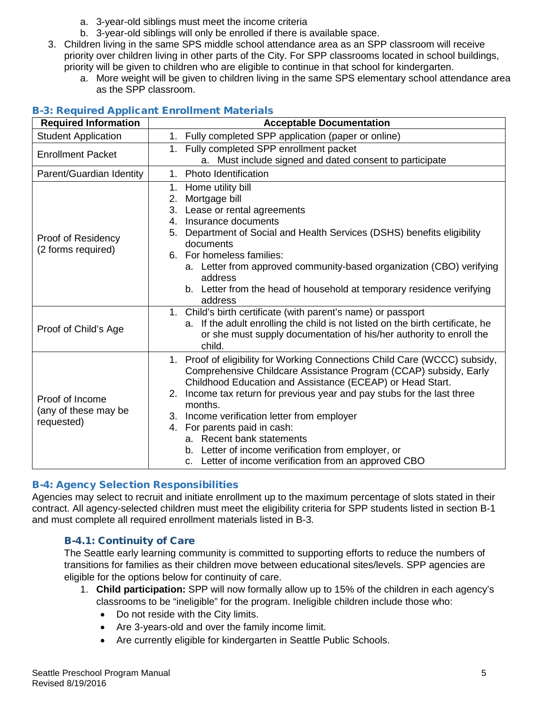- a. 3-year-old siblings must meet the income criteria
- b. 3-year-old siblings will only be enrolled if there is available space.
- 3. Children living in the same SPS middle school attendance area as an SPP classroom will receive priority over children living in other parts of the City. For SPP classrooms located in school buildings, priority will be given to children who are eligible to continue in that school for kindergarten.
	- a. More weight will be given to children living in the same SPS elementary school attendance area as the SPP classroom.

| <b>Required Information</b>                           | <b>Acceptable Documentation</b>                                                                                                                                                                                                                                                                                                                                                                                                                                                                                                 |
|-------------------------------------------------------|---------------------------------------------------------------------------------------------------------------------------------------------------------------------------------------------------------------------------------------------------------------------------------------------------------------------------------------------------------------------------------------------------------------------------------------------------------------------------------------------------------------------------------|
| <b>Student Application</b>                            | 1. Fully completed SPP application (paper or online)                                                                                                                                                                                                                                                                                                                                                                                                                                                                            |
| <b>Enrollment Packet</b>                              | 1. Fully completed SPP enrollment packet<br>a. Must include signed and dated consent to participate                                                                                                                                                                                                                                                                                                                                                                                                                             |
| Parent/Guardian Identity                              | Photo Identification<br>1.                                                                                                                                                                                                                                                                                                                                                                                                                                                                                                      |
| Proof of Residency<br>(2 forms required)              | 1. Home utility bill<br>Mortgage bill<br>2.<br>3.<br>Lease or rental agreements<br>Insurance documents<br>4.<br>5. Department of Social and Health Services (DSHS) benefits eligibility<br>documents<br>6. For homeless families:<br>a. Letter from approved community-based organization (CBO) verifying<br>address<br>b. Letter from the head of household at temporary residence verifying<br>address                                                                                                                        |
| Proof of Child's Age                                  | 1. Child's birth certificate (with parent's name) or passport<br>a. If the adult enrolling the child is not listed on the birth certificate, he<br>or she must supply documentation of his/her authority to enroll the<br>child.                                                                                                                                                                                                                                                                                                |
| Proof of Income<br>(any of these may be<br>requested) | 1. Proof of eligibility for Working Connections Child Care (WCCC) subsidy,<br>Comprehensive Childcare Assistance Program (CCAP) subsidy, Early<br>Childhood Education and Assistance (ECEAP) or Head Start.<br>Income tax return for previous year and pay stubs for the last three<br>2.<br>months.<br>3. Income verification letter from employer<br>4. For parents paid in cash:<br>a. Recent bank statements<br>b. Letter of income verification from employer, or<br>c. Letter of income verification from an approved CBO |

# <span id="page-4-0"></span>B-3: Required Applicant Enrollment Materials

# <span id="page-4-1"></span>B-4: Agency Selection Responsibilities

Agencies may select to recruit and initiate enrollment up to the maximum percentage of slots stated in their contract. All agency-selected children must meet the eligibility criteria for SPP students listed in section B-1 and must complete all required enrollment materials listed in B-3.

#### <span id="page-4-2"></span>B-4.1: Continuity of Care

The Seattle early learning community is committed to supporting efforts to reduce the numbers of transitions for families as their children move between educational sites/levels. SPP agencies are eligible for the options below for continuity of care.

- 1. **Child participation:** SPP will now formally allow up to 15% of the children in each agency's classrooms to be "ineligible" for the program. Ineligible children include those who:
	- Do not reside with the City limits.
	- Are 3-years-old and over the family income limit.
	- Are currently eligible for kindergarten in Seattle Public Schools.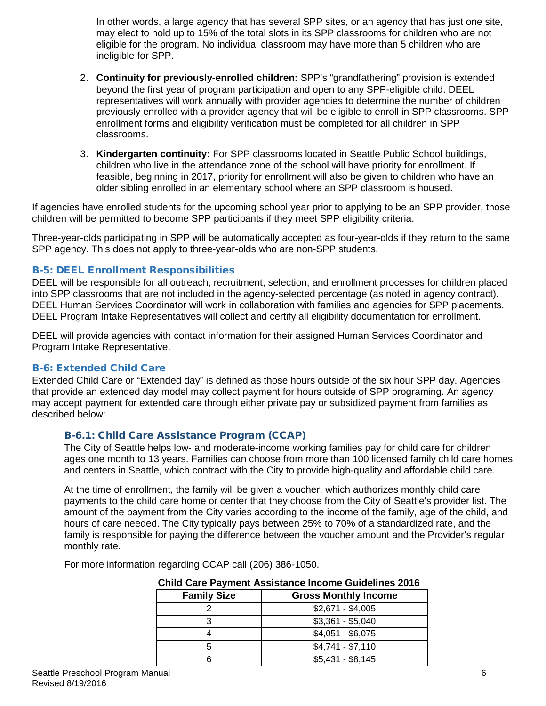In other words, a large agency that has several SPP sites, or an agency that has just one site, may elect to hold up to 15% of the total slots in its SPP classrooms for children who are not eligible for the program. No individual classroom may have more than 5 children who are ineligible for SPP.

- 2. **Continuity for previously-enrolled children:** SPP's "grandfathering" provision is extended beyond the first year of program participation and open to any SPP-eligible child. DEEL representatives will work annually with provider agencies to determine the number of children previously enrolled with a provider agency that will be eligible to enroll in SPP classrooms. SPP enrollment forms and eligibility verification must be completed for all children in SPP classrooms.
- 3. **Kindergarten continuity:** For SPP classrooms located in Seattle Public School buildings, children who live in the attendance zone of the school will have priority for enrollment. If feasible, beginning in 2017, priority for enrollment will also be given to children who have an older sibling enrolled in an elementary school where an SPP classroom is housed.

If agencies have enrolled students for the upcoming school year prior to applying to be an SPP provider, those children will be permitted to become SPP participants if they meet SPP eligibility criteria.

Three-year-olds participating in SPP will be automatically accepted as four-year-olds if they return to the same SPP agency. This does not apply to three-year-olds who are non-SPP students.

#### <span id="page-5-0"></span>B-5: DEEL Enrollment Responsibilities

DEEL will be responsible for all outreach, recruitment, selection, and enrollment processes for children placed into SPP classrooms that are not included in the agency-selected percentage (as noted in agency contract). DEEL Human Services Coordinator will work in collaboration with families and agencies for SPP placements. DEEL Program Intake Representatives will collect and certify all eligibility documentation for enrollment.

DEEL will provide agencies with contact information for their assigned Human Services Coordinator and Program Intake Representative.

#### <span id="page-5-1"></span>B-6: Extended Child Care

Extended Child Care or "Extended day" is defined as those hours outside of the six hour SPP day. Agencies that provide an extended day model may collect payment for hours outside of SPP programing. An agency may accept payment for extended care through either private pay or subsidized payment from families as described below:

#### <span id="page-5-2"></span>B-6.1: Child Care Assistance Program (CCAP)

The City of Seattle helps low- and moderate-income working families pay for child care for children ages one month to 13 years. Families can choose from more than 100 licensed family child care homes and centers in Seattle, which contract with the City to provide high-quality and affordable child care.

At the time of enrollment, the family will be given a voucher, which authorizes monthly child care payments to the child care home or center that they choose from the City of Seattle's provider list. The amount of the payment from the City varies according to the income of the family, age of the child, and hours of care needed. The City typically pays between 25% to 70% of a standardized rate, and the family is responsible for paying the difference between the voucher amount and the Provider's regular monthly rate.

For more information regarding CCAP call (206) 386-1050.

| <b>Child Care Payment Assistance Income Guidelines 2016</b> |                             |  |  |  |  |
|-------------------------------------------------------------|-----------------------------|--|--|--|--|
| <b>Family Size</b>                                          | <b>Gross Monthly Income</b> |  |  |  |  |
|                                                             | $$2,671 - $4,005$           |  |  |  |  |
|                                                             | $$3,361 - $5,040$           |  |  |  |  |
|                                                             | $$4,051 - $6,075$           |  |  |  |  |
| 5                                                           | $$4,741 - $7,110$           |  |  |  |  |
|                                                             | $$5,431 - $8,145$           |  |  |  |  |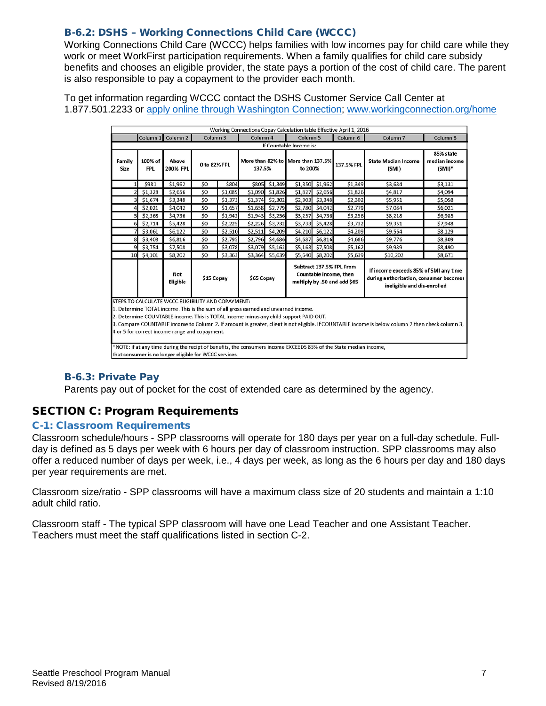# <span id="page-6-0"></span>B-6.2: DSHS – Working Connections Child Care (WCCC)

Working Connections Child Care (WCCC) helps families with low incomes pay for child care while they work or meet WorkFirst participation requirements. When a family qualifies for child care subsidy benefits and chooses an eligible provider, the state pays a portion of the cost of child care. The parent is also responsible to pay a copayment to the provider each month.

To get information regarding WCCC contact the DSHS Customer Service Call Center at 1.877.501.2233 or [apply online through Washington Connection;](http://www.washingtonconnection.org/) [www.workingconnection.org/home](http://www.workingconnection.org/home)

|                                                                                                                                                                                                                                                                                                                                                                                                                                                                                                                                                                | Working Connections Copay Calculation table Effective April 1, 2016                                                                                                                                                                                 |                   |                |         |          |                 |                                              |                 |            |                                     |                                         |
|----------------------------------------------------------------------------------------------------------------------------------------------------------------------------------------------------------------------------------------------------------------------------------------------------------------------------------------------------------------------------------------------------------------------------------------------------------------------------------------------------------------------------------------------------------------|-----------------------------------------------------------------------------------------------------------------------------------------------------------------------------------------------------------------------------------------------------|-------------------|----------------|---------|----------|-----------------|----------------------------------------------|-----------------|------------|-------------------------------------|-----------------------------------------|
|                                                                                                                                                                                                                                                                                                                                                                                                                                                                                                                                                                |                                                                                                                                                                                                                                                     | Column 1 Column 2 | Column 3       |         | Column 4 |                 | Column <sub>5</sub>                          |                 | Column 6   | Column <sub>7</sub>                 | Column 8                                |
|                                                                                                                                                                                                                                                                                                                                                                                                                                                                                                                                                                |                                                                                                                                                                                                                                                     |                   |                |         |          |                 | If Countable Income is:                      |                 |            |                                     |                                         |
| Family<br>Size                                                                                                                                                                                                                                                                                                                                                                                                                                                                                                                                                 | 100% of<br><b>FPL</b>                                                                                                                                                                                                                               | Above<br>200% FPL | 0 to 82% FPL   |         | 137.5%   |                 | More than 82% to More than 137.5%<br>to 200% |                 | 137.5% FPL | <b>State Median Income</b><br>(SMI) | 85% state<br>median income<br>$(SMI)^*$ |
|                                                                                                                                                                                                                                                                                                                                                                                                                                                                                                                                                                | \$981                                                                                                                                                                                                                                               | \$1,962           | \$O            | \$804   |          | \$805 \$1,349   |                                              | \$1,350 \$1,962 | \$1,349    | \$3,684                             | \$3,131                                 |
|                                                                                                                                                                                                                                                                                                                                                                                                                                                                                                                                                                | \$1,328                                                                                                                                                                                                                                             | \$2,656           | \$0            | \$1,089 |          | \$1,090 \$1,826 | \$1,827                                      | \$2,656         | \$1,826    | \$4,817                             | \$4,094                                 |
|                                                                                                                                                                                                                                                                                                                                                                                                                                                                                                                                                                | 3 \$1,674                                                                                                                                                                                                                                           | \$3,348           | \$0            | \$1,373 |          | \$1,374 \$2,302 |                                              | \$2,303 \$3,348 | \$2,302    | \$5,951                             | \$5,058                                 |
|                                                                                                                                                                                                                                                                                                                                                                                                                                                                                                                                                                | \$2,021                                                                                                                                                                                                                                             | \$4,042           | S <sub>0</sub> | \$1,657 |          | S1,658 \$2,779  |                                              | \$2,780 \$4,042 | \$2,779    | \$7,084                             | \$6,021                                 |
|                                                                                                                                                                                                                                                                                                                                                                                                                                                                                                                                                                | \$2,368                                                                                                                                                                                                                                             | \$4,736           | \$0            | \$1,942 |          | \$1,943 \$3,256 | \$3,257                                      | \$4,736         | \$3,256    | \$8,218                             | \$6,985                                 |
|                                                                                                                                                                                                                                                                                                                                                                                                                                                                                                                                                                | 6 \$2,714                                                                                                                                                                                                                                           | \$5,428           | \$0            | \$2,225 |          | \$2,226 \$3,732 |                                              | \$3,733 \$5,428 | \$3,732    | \$9,351                             | \$7,948                                 |
|                                                                                                                                                                                                                                                                                                                                                                                                                                                                                                                                                                | \$3,061                                                                                                                                                                                                                                             | \$6,122           | \$0            | \$2,510 | \$2,511  | \$4,209         | \$4,210                                      | \$6,122         | \$4,209    | \$9,564                             | \$8,129                                 |
|                                                                                                                                                                                                                                                                                                                                                                                                                                                                                                                                                                | 8 \$3,408                                                                                                                                                                                                                                           | \$6,816           | \$0            | \$2,795 |          | S2,796 \$4,686  |                                              | \$4,687 \$6,816 | \$4,686    | \$9,776                             | \$8,309                                 |
|                                                                                                                                                                                                                                                                                                                                                                                                                                                                                                                                                                | 9 \$3,754                                                                                                                                                                                                                                           | \$7,508           | \$0            | \$3,078 |          | \$3,079 \$5,162 |                                              | \$5,163 \$7,508 | \$5,162    | \$9,989                             | \$8,490                                 |
|                                                                                                                                                                                                                                                                                                                                                                                                                                                                                                                                                                | 10 \$4,101                                                                                                                                                                                                                                          | \$8,202           | \$0            | \$3,363 |          | \$3,364 \$5,639 |                                              | \$5,640 \$8,202 | \$5,639    | \$10,202                            | \$8,671                                 |
|                                                                                                                                                                                                                                                                                                                                                                                                                                                                                                                                                                | Subtract 137.5% FPL From<br>If income exceeds 85% of SMI any time<br>Countable income, then<br>Not<br>\$15 Copay<br>\$65 Copay<br>during authorization, consumer becomes<br>multiply by .50 and add \$65<br>Eligible<br>ineligible and dis-enrolled |                   |                |         |          |                 |                                              |                 |            |                                     |                                         |
| STEPS TO CALCULATE WCCC ELIGIBILITY AND COPAYMENT:<br>1. Determine TOTAL income. This is the sum of all gross earned and unearned income.<br>2. Determine COUNTABLE income. This is TOTAL income minus any child support PAID OUT.<br>3. Compare COUNTABLE income to Column 2. If amount is greater, client is not eligible. If COUNTABLE income is below column 2 then check column 3,<br>4 or 5 for correct income range and copayment.<br>*NOTE: if at any time during the recipt of benefits, the consumers income EXCEEDS 85% of the State median income, |                                                                                                                                                                                                                                                     |                   |                |         |          |                 |                                              |                 |            |                                     |                                         |
| that consumer is no longer eligible for WCCC services                                                                                                                                                                                                                                                                                                                                                                                                                                                                                                          |                                                                                                                                                                                                                                                     |                   |                |         |          |                 |                                              |                 |            |                                     |                                         |

# <span id="page-6-1"></span>B-6.3: Private Pay

Parents pay out of pocket for the cost of extended care as determined by the agency.

# <span id="page-6-2"></span>SECTION C: Program Requirements

#### <span id="page-6-3"></span>C-1: Classroom Requirements

Classroom schedule/hours - SPP classrooms will operate for 180 days per year on a full-day schedule. Fullday is defined as 5 days per week with 6 hours per day of classroom instruction. SPP classrooms may also offer a reduced number of days per week, i.e., 4 days per week, as long as the 6 hours per day and 180 days per year requirements are met.

Classroom size/ratio - SPP classrooms will have a maximum class size of 20 students and maintain a 1:10 adult child ratio.

Classroom staff - The typical SPP classroom will have one Lead Teacher and one Assistant Teacher. Teachers must meet the staff qualifications listed in section C-2.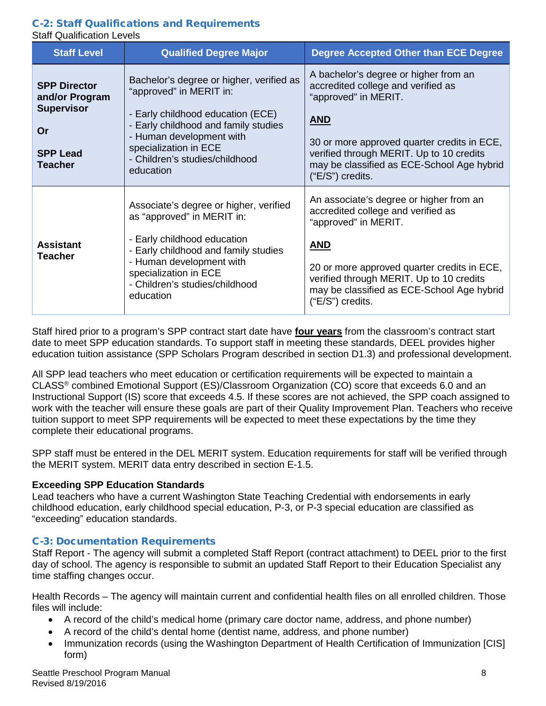#### <span id="page-7-0"></span>C-2: Staff Qualifications and Requirements Staff Qualification Levels

| <b>Staff Level</b>                                                                                    | <b>Qualified Degree Major</b>                                                                                                                                                                                                                        | <b>Degree Accepted Other than ECE Degree</b>                                                                                                                                                                                                                                     |
|-------------------------------------------------------------------------------------------------------|------------------------------------------------------------------------------------------------------------------------------------------------------------------------------------------------------------------------------------------------------|----------------------------------------------------------------------------------------------------------------------------------------------------------------------------------------------------------------------------------------------------------------------------------|
| <b>SPP Director</b><br>and/or Program<br><b>Supervisor</b><br>Or<br><b>SPP Lead</b><br><b>Teacher</b> | Bachelor's degree or higher, verified as<br>"approved" in MERIT in:<br>- Early childhood education (ECE)<br>- Early childhood and family studies<br>- Human development with<br>specialization in ECE<br>- Children's studies/childhood<br>education | A bachelor's degree or higher from an<br>accredited college and verified as<br>"approved" in MERIT.<br><b>AND</b><br>30 or more approved quarter credits in ECE,<br>verified through MERIT. Up to 10 credits<br>may be classified as ECE-School Age hybrid<br>$("E/S")$ credits. |
| <b>Assistant</b><br><b>Teacher</b>                                                                    | Associate's degree or higher, verified<br>as "approved" in MERIT in:<br>- Early childhood education<br>- Early childhood and family studies<br>- Human development with<br>specialization in ECE<br>- Children's studies/childhood<br>education      | An associate's degree or higher from an<br>accredited college and verified as<br>"approved" in MERIT.<br><b>AND</b><br>20 or more approved quarter credits in ECE,<br>verified through MERIT. Up to 10 credits<br>may be classified as ECE-School Age hybrid<br>("E/S") credits. |

Staff hired prior to a program's SPP contract start date have **four years** from the classroom's contract start date to meet SPP education standards. To support staff in meeting these standards, DEEL provides higher education tuition assistance (SPP Scholars Program described in section D1.3) and professional development.

All SPP lead teachers who meet education or certification requirements will be expected to maintain a CLASS® combined Emotional Support (ES)/Classroom Organization (CO) score that exceeds 6.0 and an Instructional Support (IS) score that exceeds 4.5. If these scores are not achieved, the SPP coach assigned to work with the teacher will ensure these goals are part of their Quality Improvement Plan. Teachers who receive tuition support to meet SPP requirements will be expected to meet these expectations by the time they complete their educational programs.

SPP staff must be entered in the DEL MERIT system. Education requirements for staff will be verified through the MERIT system. MERIT data entry described in section E-1.5.

#### **Exceeding SPP Education Standards**

Lead teachers who have a current Washington State Teaching Credential with endorsements in early childhood education, early childhood special education, P-3, or P-3 special education are classified as "exceeding" education standards.

# <span id="page-7-1"></span>C-3: Documentation Requirements

Staff Report - The agency will submit a completed Staff Report (contract attachment) to DEEL prior to the first day of school. The agency is responsible to submit an updated Staff Report to their Education Specialist any time staffing changes occur.

Health Records – The agency will maintain current and confidential health files on all enrolled children. Those files will include:

- A record of the child's medical home (primary care doctor name, address, and phone number)
- A record of the child's dental home (dentist name, address, and phone number)
- Immunization records (using the Washington Department of Health Certification of Immunization [CIS] form)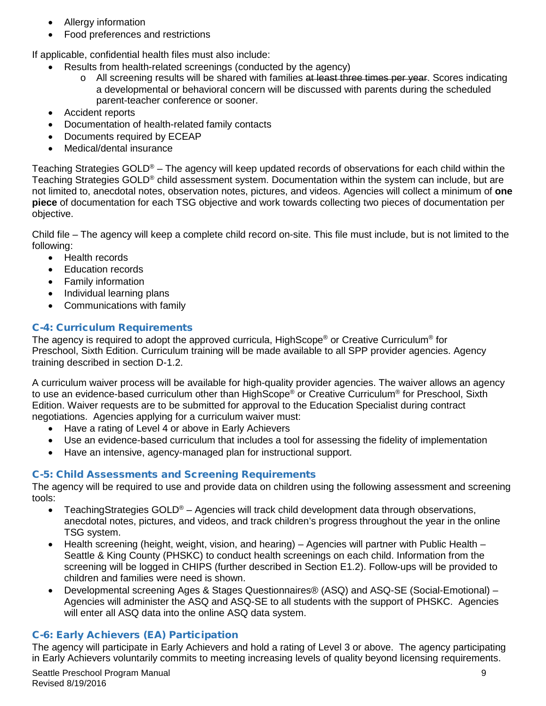- Allergy information
- Food preferences and restrictions

If applicable, confidential health files must also include:

- Results from health-related screenings (conducted by the agency)
	- $\circ$  All screening results will be shared with families at least three times per year. Scores indicating a developmental or behavioral concern will be discussed with parents during the scheduled parent-teacher conference or sooner.
- Accident reports
- Documentation of health-related family contacts
- Documents required by ECEAP
- Medical/dental insurance

Teaching Strategies GOLD® – The agency will keep updated records of observations for each child within the Teaching Strategies GOLD® child assessment system. Documentation within the system can include, but are not limited to, anecdotal notes, observation notes, pictures, and videos. Agencies will collect a minimum of **one piece** of documentation for each TSG objective and work towards collecting two pieces of documentation per objective.

Child file – The agency will keep a complete child record on-site. This file must include, but is not limited to the following:

- Health records
- Education records
- Family information
- Individual learning plans
- Communications with family

# <span id="page-8-0"></span>C-4: Curriculum Requirements

The agency is required to adopt the approved curricula, HighScope® or Creative Curriculum<sup>®</sup> for Preschool, Sixth Edition. Curriculum training will be made available to all SPP provider agencies. Agency training described in section D-1.2.

A curriculum waiver process will be available for high-quality provider agencies. The waiver allows an agency to use an evidence-based curriculum other than HighScope® or Creative Curriculum® for Preschool, Sixth Edition. Waiver requests are to be submitted for approval to the Education Specialist during contract negotiations. Agencies applying for a curriculum waiver must:

- Have a rating of Level 4 or above in Early Achievers
- Use an evidence-based curriculum that includes a tool for assessing the fidelity of implementation
- Have an intensive, agency-managed plan for instructional support.

# <span id="page-8-1"></span>C-5: Child Assessments and Screening Requirements

The agency will be required to use and provide data on children using the following assessment and screening tools:

- TeachingStrategies  $GOLD^{\circledcirc}$  Agencies will track child development data through observations, anecdotal notes, pictures, and videos, and track children's progress throughout the year in the online TSG system.
- Health screening (height, weight, vision, and hearing) Agencies will partner with Public Health Seattle & King County (PHSKC) to conduct health screenings on each child. Information from the screening will be logged in CHIPS (further described in Section E1.2). Follow-ups will be provided to children and families were need is shown.
- Developmental screening Ages & Stages Questionnaires® (ASQ) and ASQ-SE (Social-Emotional) Agencies will administer the ASQ and ASQ-SE to all students with the support of PHSKC. Agencies will enter all ASQ data into the online ASQ data system.

# <span id="page-8-2"></span>C-6: Early Achievers (EA) Participation

The agency will participate in Early Achievers and hold a rating of Level 3 or above.The agency participating in Early Achievers voluntarily commits to meeting increasing levels of quality beyond licensing requirements.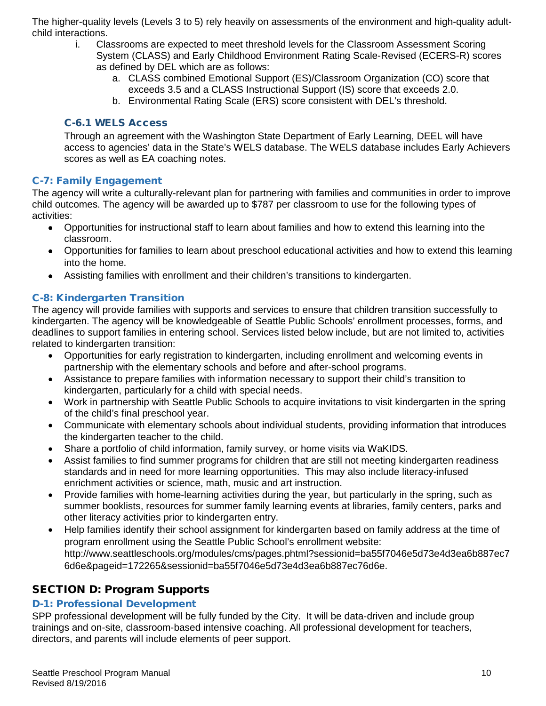The higher-quality levels (Levels 3 to 5) rely heavily on assessments of the environment and high-quality adultchild interactions.

- i. Classrooms are expected to meet threshold levels for the Classroom Assessment Scoring System (CLASS) and Early Childhood Environment Rating Scale-Revised (ECERS-R) scores as defined by DEL which are as follows:
	- a. CLASS combined Emotional Support (ES)/Classroom Organization (CO) score that exceeds 3.5 and a CLASS Instructional Support (IS) score that exceeds 2.0.
	- b. Environmental Rating Scale (ERS) score consistent with DEL's threshold.

# <span id="page-9-0"></span>C-6.1 WELS Access

Through an agreement with the Washington State Department of Early Learning, DEEL will have access to agencies' data in the State's WELS database. The WELS database includes Early Achievers scores as well as EA coaching notes.

# <span id="page-9-1"></span>C-7: Family Engagement

The agency will write a culturally-relevant plan for partnering with families and communities in order to improve child outcomes. The agency will be awarded up to \$787 per classroom to use for the following types of activities:

- Opportunities for instructional staff to learn about families and how to extend this learning into the classroom.
- Opportunities for families to learn about preschool educational activities and how to extend this learning into the home.
- Assisting families with enrollment and their children's transitions to kindergarten.

# <span id="page-9-2"></span>C-8: Kindergarten Transition

The agency will provide families with supports and services to ensure that children transition successfully to kindergarten. The agency will be knowledgeable of Seattle Public Schools' enrollment processes, forms, and deadlines to support families in entering school. Services listed below include, but are not limited to, activities related to kindergarten transition:

- Opportunities for early registration to kindergarten, including enrollment and welcoming events in partnership with the elementary schools and before and after-school programs.
- Assistance to prepare families with information necessary to support their child's transition to kindergarten, particularly for a child with special needs.
- Work in partnership with Seattle Public Schools to acquire invitations to visit kindergarten in the spring of the child's final preschool year.
- Communicate with elementary schools about individual students, providing information that introduces the kindergarten teacher to the child.
- Share a portfolio of child information, family survey, or home visits via WaKIDS.
- Assist families to find summer programs for children that are still not meeting kindergarten readiness standards and in need for more learning opportunities. This may also include literacy-infused enrichment activities or science, math, music and art instruction.
- Provide families with home-learning activities during the year, but particularly in the spring, such as summer booklists, resources for summer family learning events at libraries, family centers, parks and other literacy activities prior to kindergarten entry.
- Help families identify their school assignment for kindergarten based on family address at the time of program enrollment using the Seattle Public School's enrollment website: http://www.seattleschools.org/modules/cms/pages.phtml?sessionid=ba55f7046e5d73e4d3ea6b887ec7 6d6e&pageid=172265&sessionid=ba55f7046e5d73e4d3ea6b887ec76d6e.

# <span id="page-9-3"></span>SECTION D: Program Supports

# <span id="page-9-4"></span>D-1: Professional Development

SPP professional development will be fully funded by the City. It will be data-driven and include group trainings and on-site, classroom-based intensive coaching. All professional development for teachers, directors, and parents will include elements of peer support.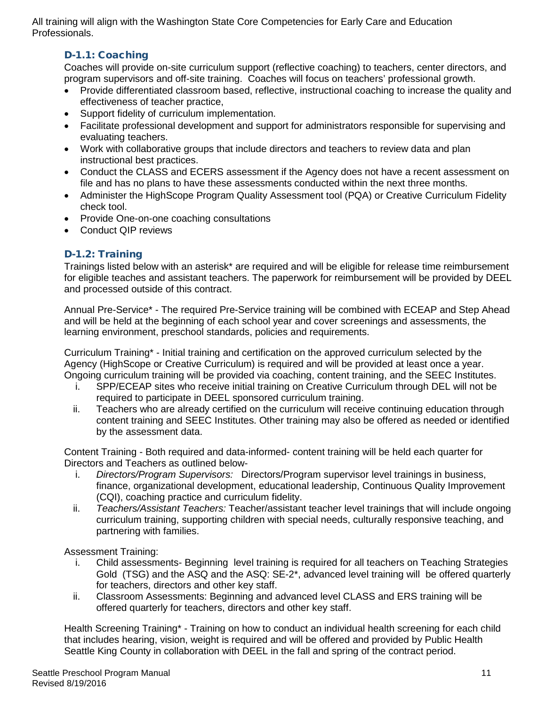<span id="page-10-0"></span>All training will align with the Washington State Core Competencies for Early Care and Education Professionals.

# D-1.1: Coaching

Coaches will provide on-site curriculum support (reflective coaching) to teachers, center directors, and program supervisors and off-site training. Coaches will focus on teachers' professional growth.

- Provide differentiated classroom based, reflective, instructional coaching to increase the quality and effectiveness of teacher practice,
- Support fidelity of curriculum implementation.
- Facilitate professional development and support for administrators responsible for supervising and evaluating teachers.
- Work with collaborative groups that include directors and teachers to review data and plan instructional best practices.
- Conduct the CLASS and ECERS assessment if the Agency does not have a recent assessment on file and has no plans to have these assessments conducted within the next three months.
- Administer the HighScope Program Quality Assessment tool (PQA) or Creative Curriculum Fidelity check tool.
- Provide One-on-one coaching consultations
- Conduct QIP reviews

# <span id="page-10-1"></span>D-1.2: Training

Trainings listed below with an asterisk\* are required and will be eligible for release time reimbursement for eligible teaches and assistant teachers. The paperwork for reimbursement will be provided by DEEL and processed outside of this contract.

Annual Pre-Service\* - The required Pre-Service training will be combined with ECEAP and Step Ahead and will be held at the beginning of each school year and cover screenings and assessments, the learning environment, preschool standards, policies and requirements.

Curriculum Training\* - Initial training and certification on the approved curriculum selected by the Agency (HighScope or Creative Curriculum) is required and will be provided at least once a year. Ongoing curriculum training will be provided via coaching, content training, and the SEEC Institutes.

- i. SPP/ECEAP sites who receive initial training on Creative Curriculum through DEL will not be required to participate in DEEL sponsored curriculum training.
- ii. Teachers who are already certified on the curriculum will receive continuing education through content training and SEEC Institutes. Other training may also be offered as needed or identified by the assessment data.

Content Training - Both required and data-informed- content training will be held each quarter for Directors and Teachers as outlined below-

- i. *Directors/Program Supervisors:* Directors/Program supervisor level trainings in business, finance, organizational development, educational leadership, Continuous Quality Improvement (CQI), coaching practice and curriculum fidelity.
- ii. *Teachers/Assistant Teachers:* Teacher/assistant teacher level trainings that will include ongoing curriculum training, supporting children with special needs, culturally responsive teaching, and partnering with families.

Assessment Training:

- i. Child assessments- Beginning level training is required for all teachers on Teaching Strategies Gold (TSG) and the ASQ and the ASQ: SE-2\*, advanced level training will be offered quarterly for teachers, directors and other key staff.
- ii. Classroom Assessments: Beginning and advanced level CLASS and ERS training will be offered quarterly for teachers, directors and other key staff.

Health Screening Training\* - Training on how to conduct an individual health screening for each child that includes hearing, vision, weight is required and will be offered and provided by Public Health Seattle King County in collaboration with DEEL in the fall and spring of the contract period.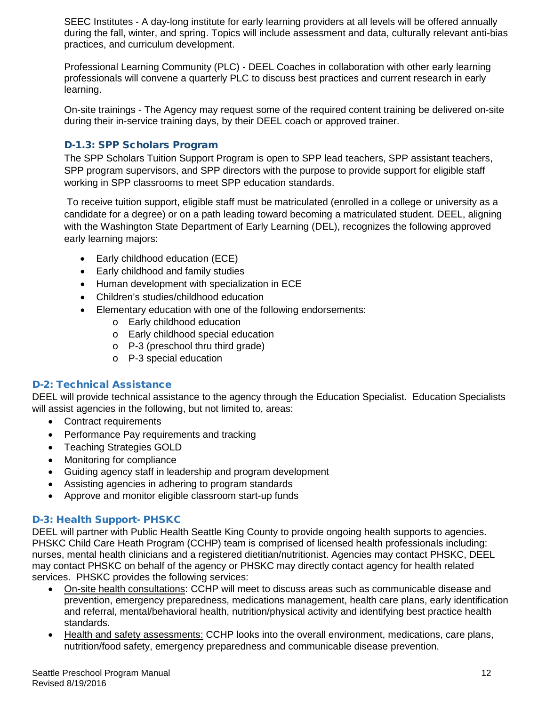SEEC Institutes - A day-long institute for early learning providers at all levels will be offered annually during the fall, winter, and spring. Topics will include assessment and data, culturally relevant anti-bias practices, and curriculum development.

Professional Learning Community (PLC) - DEEL Coaches in collaboration with other early learning professionals will convene a quarterly PLC to discuss best practices and current research in early learning.

On-site trainings - The Agency may request some of the required content training be delivered on-site during their in-service training days, by their DEEL coach or approved trainer.

# <span id="page-11-0"></span>D-1.3: SPP Scholars Program

The SPP Scholars Tuition Support Program is open to SPP lead teachers, SPP assistant teachers, SPP program supervisors, and SPP directors with the purpose to provide support for eligible staff working in SPP classrooms to meet SPP education standards.

To receive tuition support, eligible staff must be matriculated (enrolled in a college or university as a candidate for a degree) or on a path leading toward becoming a matriculated student. DEEL, aligning with the Washington State Department of Early Learning (DEL), recognizes the following approved early learning majors:

- Early childhood education (ECE)
- Early childhood and family studies
- Human development with specialization in ECE
- Children's studies/childhood education
- Elementary education with one of the following endorsements:
	- o Early childhood education
	- o Early childhood special education
	- o P-3 (preschool thru third grade)
	- o P-3 special education

#### <span id="page-11-1"></span>D-2: Technical Assistance

DEEL will provide technical assistance to the agency through the Education Specialist. Education Specialists will assist agencies in the following, but not limited to, areas:

- Contract requirements
- Performance Pay requirements and tracking
- Teaching Strategies GOLD
- Monitoring for compliance
- Guiding agency staff in leadership and program development
- Assisting agencies in adhering to program standards
- Approve and monitor eligible classroom start-up funds

# <span id="page-11-2"></span>D-3: Health Support- PHSKC

DEEL will partner with Public Health Seattle King County to provide ongoing health supports to agencies. PHSKC Child Care Heath Program (CCHP) team is comprised of licensed health professionals including: nurses, mental health clinicians and a registered dietitian/nutritionist. Agencies may contact PHSKC, DEEL may contact PHSKC on behalf of the agency or PHSKC may directly contact agency for health related services. PHSKC provides the following services:

- On-site health consultations: CCHP will meet to discuss areas such as communicable disease and prevention, emergency preparedness, medications management, health care plans, early identification and referral, mental/behavioral health, nutrition/physical activity and identifying best practice health standards.
- Health and safety assessments: CCHP looks into the overall environment, medications, care plans, nutrition/food safety, emergency preparedness and communicable disease prevention.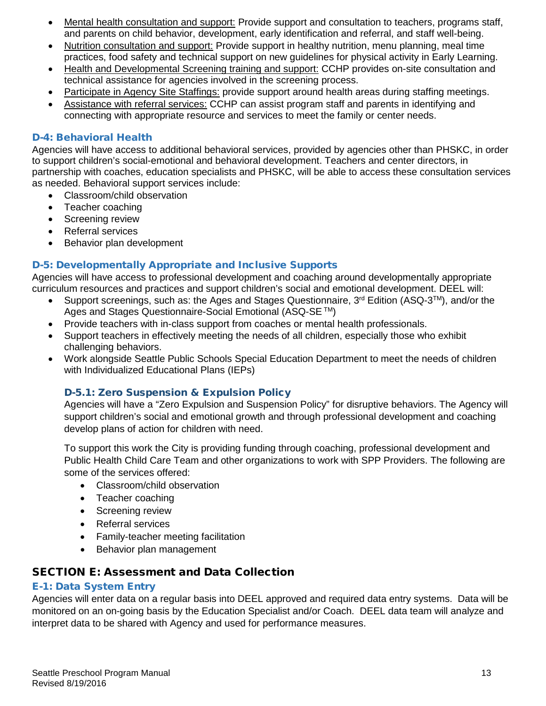- Mental health consultation and support: Provide support and consultation to teachers, programs staff, and parents on child behavior, development, early identification and referral, and staff well-being.
- Nutrition consultation and support: Provide support in healthy nutrition, menu planning, meal time practices, food safety and technical support on new guidelines for physical activity in Early Learning.
- Health and Developmental Screening training and support: CCHP provides on-site consultation and technical assistance for agencies involved in the screening process.
- Participate in Agency Site Staffings: provide support around health areas during staffing meetings.
- Assistance with referral services: CCHP can assist program staff and parents in identifying and connecting with appropriate resource and services to meet the family or center needs.

### <span id="page-12-0"></span>D-4: Behavioral Health

Agencies will have access to additional behavioral services, provided by agencies other than PHSKC, in order to support children's social-emotional and behavioral development. Teachers and center directors, in partnership with coaches, education specialists and PHSKC, will be able to access these consultation services as needed. Behavioral support services include:

- Classroom/child observation
- Teacher coaching
- Screening review
- Referral services
- Behavior plan development

#### <span id="page-12-1"></span>D-5: Developmentally Appropriate and Inclusive Supports

Agencies will have access to professional development and coaching around developmentally appropriate curriculum resources and practices and support children's social and emotional development. DEEL will:

- Support screenings, such as: the Ages and Stages Questionnaire, 3rd Edition (ASQ-3TM), and/or the Ages and Stages Questionnaire-Social Emotional (ASQ-SE ™)
- Provide teachers with in-class support from coaches or mental health professionals.
- Support teachers in effectively meeting the needs of all children, especially those who exhibit challenging behaviors.
- Work alongside Seattle Public Schools Special Education Department to meet the needs of children with Individualized Educational Plans (IEPs)

# <span id="page-12-2"></span>D-5.1: Zero Suspension & Expulsion Policy

Agencies will have a "Zero Expulsion and Suspension Policy" for disruptive behaviors. The Agency will support children's social and emotional growth and through professional development and coaching develop plans of action for children with need.

To support this work the City is providing funding through coaching, professional development and Public Health Child Care Team and other organizations to work with SPP Providers. The following are some of the services offered:

- Classroom/child observation
- Teacher coaching
- Screening review
- Referral services
- Family-teacher meeting facilitation
- Behavior plan management

# <span id="page-12-3"></span>SECTION E: Assessment and Data Collection

#### <span id="page-12-4"></span>E-1: Data System Entry

Agencies will enter data on a regular basis into DEEL approved and required data entry systems. Data will be monitored on an on-going basis by the Education Specialist and/or Coach. DEEL data team will analyze and interpret data to be shared with Agency and used for performance measures.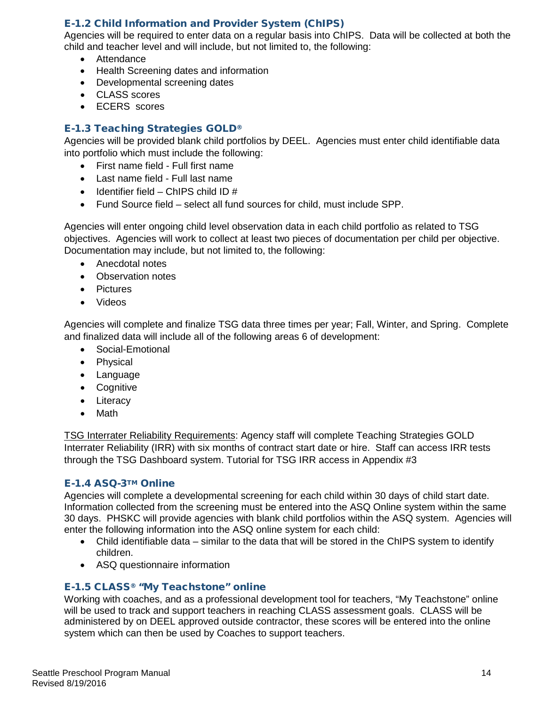# <span id="page-13-0"></span>E-1.2 Child Information and Provider System (ChIPS)

Agencies will be required to enter data on a regular basis into ChIPS. Data will be collected at both the child and teacher level and will include, but not limited to, the following:

- Attendance
- Health Screening dates and information
- Developmental screening dates
- CLASS scores
- ECERS scores

# <span id="page-13-1"></span>E-1.3 Teaching Strategies GOLD®

Agencies will be provided blank child portfolios by DEEL. Agencies must enter child identifiable data into portfolio which must include the following:

- First name field Full first name
- Last name field Full last name
- $\bullet$  Identifier field ChIPS child ID #
- Fund Source field select all fund sources for child, must include SPP.

Agencies will enter ongoing child level observation data in each child portfolio as related to TSG objectives. Agencies will work to collect at least two pieces of documentation per child per objective. Documentation may include, but not limited to, the following:

- Anecdotal notes
- Observation notes
- Pictures
- Videos

Agencies will complete and finalize TSG data three times per year; Fall, Winter, and Spring. Complete and finalized data will include all of the following areas 6 of development:

- Social-Emotional
- Physical
- Language
- Cognitive
- Literacy
- Math

TSG Interrater Reliability Requirements: Agency staff will complete Teaching Strategies GOLD Interrater Reliability (IRR) with six months of contract start date or hire. Staff can access IRR tests through the TSG Dashboard system. Tutorial for TSG IRR access in Appendix #3

#### <span id="page-13-2"></span>E-1.4 ASQ-3TM Online

Agencies will complete a developmental screening for each child within 30 days of child start date. Information collected from the screening must be entered into the ASQ Online system within the same 30 days. PHSKC will provide agencies with blank child portfolios within the ASQ system. Agencies will enter the following information into the ASQ online system for each child:

- Child identifiable data similar to the data that will be stored in the ChIPS system to identify children.
- ASQ questionnaire information

#### <span id="page-13-3"></span>E-1.5 CLASS® "My Teachstone" online

Working with coaches, and as a professional development tool for teachers, "My Teachstone" online will be used to track and support teachers in reaching CLASS assessment goals. CLASS will be administered by on DEEL approved outside contractor, these scores will be entered into the online system which can then be used by Coaches to support teachers.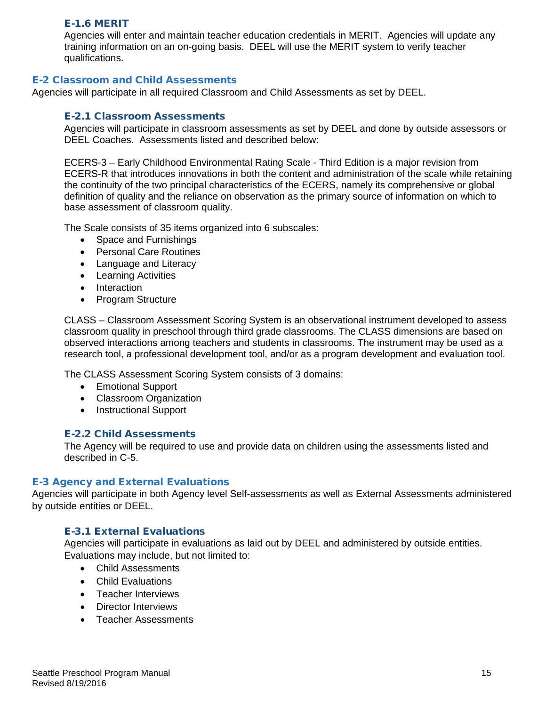#### <span id="page-14-0"></span>E-1.6 MERIT

Agencies will enter and maintain teacher education credentials in MERIT. Agencies will update any training information on an on-going basis. DEEL will use the MERIT system to verify teacher qualifications.

# <span id="page-14-1"></span>E-2 Classroom and Child Assessments

<span id="page-14-2"></span>Agencies will participate in all required Classroom and Child Assessments as set by DEEL.

#### E-2.1 Classroom Assessments

Agencies will participate in classroom assessments as set by DEEL and done by outside assessors or DEEL Coaches. Assessments listed and described below:

ECERS-3 – Early Childhood Environmental Rating Scale - Third Edition is a major revision from ECERS-R that introduces innovations in both the content and administration of the scale while retaining the continuity of the two principal characteristics of the ECERS, namely its comprehensive or global definition of quality and the reliance on observation as the primary source of information on which to base assessment of classroom quality.

The Scale consists of 35 items organized into 6 subscales:

- Space and Furnishings
- Personal Care Routines
- Language and Literacy
- Learning Activities
- Interaction
- Program Structure

CLASS – Classroom Assessment Scoring System is an observational instrument developed to assess classroom quality in preschool through third grade classrooms. The CLASS dimensions are based on observed interactions among teachers and students in classrooms. The instrument may be used as a research tool, a professional development tool, and/or as a program development and evaluation tool.

The CLASS Assessment Scoring System consists of 3 domains:

- Emotional Support
- Classroom Organization
- Instructional Support

#### <span id="page-14-3"></span>E-2.2 Child Assessments

The Agency will be required to use and provide data on children using the assessments listed and described in C-5.

#### <span id="page-14-4"></span>E-3 Agency and External Evaluations

Agencies will participate in both Agency level Self-assessments as well as External Assessments administered by outside entities or DEEL.

#### <span id="page-14-5"></span>E-3.1 External Evaluations

Agencies will participate in evaluations as laid out by DEEL and administered by outside entities. Evaluations may include, but not limited to:

- Child Assessments
- Child Evaluations
- Teacher Interviews
- Director Interviews
- Teacher Assessments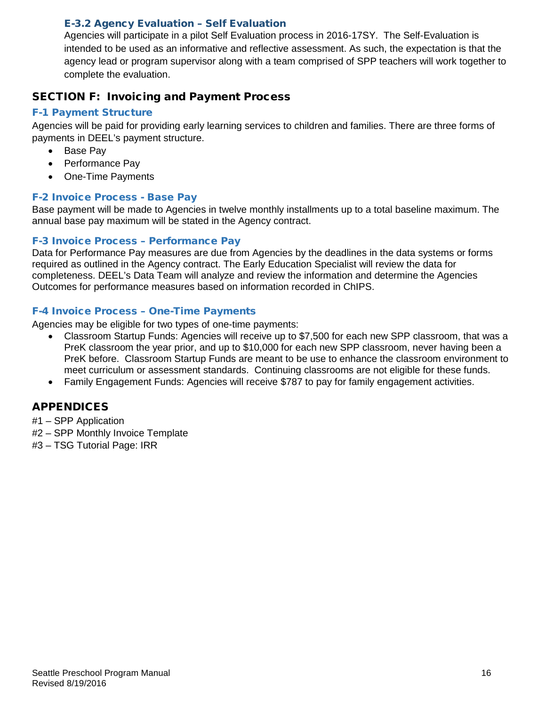# <span id="page-15-0"></span>E-3.2 Agency Evaluation – Self Evaluation

Agencies will participate in a pilot Self Evaluation process in 2016-17SY. The Self-Evaluation is intended to be used as an informative and reflective assessment. As such, the expectation is that the agency lead or program supervisor along with a team comprised of SPP teachers will work together to complete the evaluation.

# <span id="page-15-1"></span>SECTION F: Invoicing and Payment Process

# <span id="page-15-2"></span>F-1 Payment Structure

Agencies will be paid for providing early learning services to children and families. There are three forms of payments in DEEL's payment structure.

- Base Pay
- Performance Pay
- One-Time Payments

# <span id="page-15-3"></span>F-2 Invoice Process - Base Pay

Base payment will be made to Agencies in twelve monthly installments up to a total baseline maximum. The annual base pay maximum will be stated in the Agency contract.

# <span id="page-15-4"></span>F-3 Invoice Process – Performance Pay

Data for Performance Pay measures are due from Agencies by the deadlines in the data systems or forms required as outlined in the Agency contract. The Early Education Specialist will review the data for completeness. DEEL's Data Team will analyze and review the information and determine the Agencies Outcomes for performance measures based on information recorded in ChIPS.

# <span id="page-15-5"></span>F-4 Invoice Process – One-Time Payments

Agencies may be eligible for two types of one-time payments:

- Classroom Startup Funds: Agencies will receive up to \$7,500 for each new SPP classroom, that was a PreK classroom the year prior, and up to \$10,000 for each new SPP classroom, never having been a PreK before. Classroom Startup Funds are meant to be use to enhance the classroom environment to meet curriculum or assessment standards. Continuing classrooms are not eligible for these funds.
- Family Engagement Funds: Agencies will receive \$787 to pay for family engagement activities.

# <span id="page-15-6"></span>APPENDICES

- #1 SPP Application
- #2 SPP Monthly Invoice Template
- #3 TSG Tutorial Page: IRR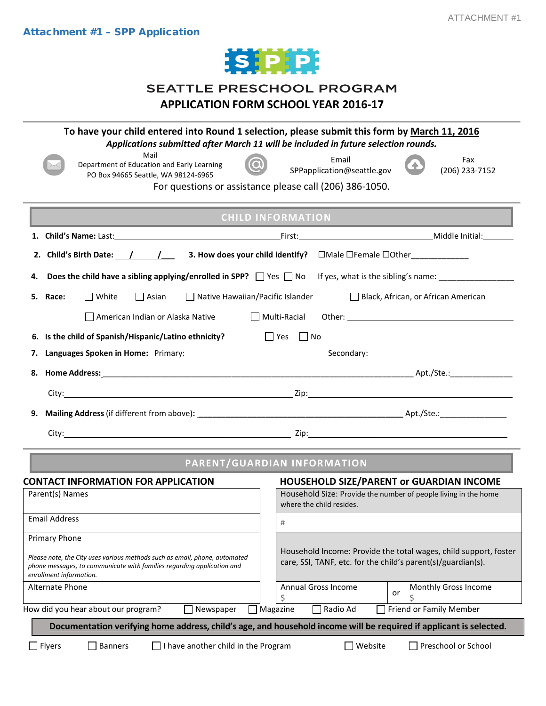

# SEATTLE PRESCHOOL PROGRAM **APPLICATION FORM SCHOOL YEAR 2016-17**

<span id="page-16-0"></span>

|                                                                                                                                                                                 | To have your child entered into Round 1 selection, please submit this form by March 11, 2016<br>Applications submitted after March 11 will be included in future selection rounds. |
|---------------------------------------------------------------------------------------------------------------------------------------------------------------------------------|------------------------------------------------------------------------------------------------------------------------------------------------------------------------------------|
| Mail<br>Department of Education and Early Learning<br>PO Box 94665 Seattle, WA 98124-6965                                                                                       | Email<br>Fax<br>SPPapplication@seattle.gov<br>(206) 233-7152                                                                                                                       |
|                                                                                                                                                                                 | For questions or assistance please call (206) 386-1050.                                                                                                                            |
|                                                                                                                                                                                 | <b>CHILD INFORMATION</b>                                                                                                                                                           |
|                                                                                                                                                                                 |                                                                                                                                                                                    |
|                                                                                                                                                                                 |                                                                                                                                                                                    |
| Does the child have a sibling applying/enrolled in SPP? $\Box$ Yes $\Box$ No<br>4.                                                                                              | If yes, what is the sibling's name: __________________                                                                                                                             |
| $\Box$ White<br>$\Box$ Asian<br>$\Box$ Native Hawaiian/Pacific Islander<br>Race:<br>5.                                                                                          | Black, African, or African American                                                                                                                                                |
| American Indian or Alaska Native                                                                                                                                                | $\Box$ Multi-Racial                                                                                                                                                                |
| 6. Is the child of Spanish/Hispanic/Latino ethnicity?                                                                                                                           | $\Box$ Yes $\Box$ No                                                                                                                                                               |
| 7.                                                                                                                                                                              |                                                                                                                                                                                    |
|                                                                                                                                                                                 |                                                                                                                                                                                    |
|                                                                                                                                                                                 |                                                                                                                                                                                    |
|                                                                                                                                                                                 |                                                                                                                                                                                    |
|                                                                                                                                                                                 |                                                                                                                                                                                    |
|                                                                                                                                                                                 |                                                                                                                                                                                    |
|                                                                                                                                                                                 | <b>PARENT/GUARDIAN INFORMATION</b>                                                                                                                                                 |
| <b>CONTACT INFORMATION FOR APPLICATION</b><br>Parent(s) Names                                                                                                                   | <b>HOUSEHOLD SIZE/PARENT or GUARDIAN INCOME</b><br>Household Size: Provide the number of people living in the home                                                                 |
|                                                                                                                                                                                 | where the child resides.                                                                                                                                                           |
| <b>Email Address</b>                                                                                                                                                            | #                                                                                                                                                                                  |
| <b>Primary Phone</b>                                                                                                                                                            | Household Income: Provide the total wages, child support, foster                                                                                                                   |
| Please note, the City uses various methods such as email, phone, automated<br>phone messages, to communicate with families regarding application and<br>enrollment information. | care, SSI, TANF, etc. for the child's parent(s)/guardian(s).                                                                                                                       |
| Alternate Phone                                                                                                                                                                 | Annual Gross Income<br>Monthly Gross Income<br>or                                                                                                                                  |
| How did you hear about our program?<br>Newspaper                                                                                                                                | Magazine<br>Radio Ad<br>Friend or Family Member                                                                                                                                    |
|                                                                                                                                                                                 | Documentation verifying home address, child's age, and household income will be required if applicant is selected.                                                                 |
| $\Box$ Flyers<br><b>Banners</b><br>I have another child in the Program                                                                                                          | Website<br>Preschool or School                                                                                                                                                     |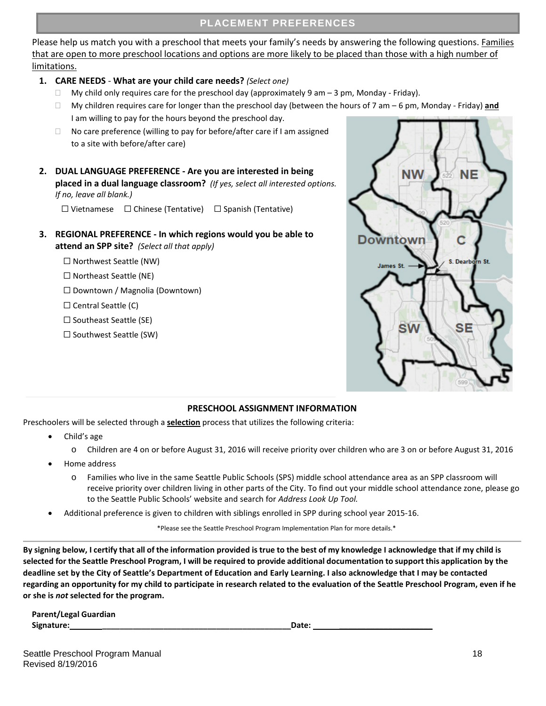Please help us match you with a preschool that meets your family's needs by answering the following questions. Families that are open to more preschool locations and options are more likely to be placed than those with a high number of limitations.

- **1. CARE NEEDS What are your child care needs?** *(Select one)*
	- $\Box$  My child only requires care for the preschool day (approximately 9 am  $-$  3 pm, Monday Friday).
	- My children requires care for longer than the preschool day (between the hours of 7 am 6 pm, Monday Friday) **and** I am willing to pay for the hours beyond the preschool day.
	- $\Box$  No care preference (willing to pay for before/after care if I am assigned to a site with before/after care)
- **2. DUAL LANGUAGE PREFERENCE - Are you are interested in being placed in a dual language classroom?** *(If yes, select all interested options. If no, leave all blank.)*

☐ Vietnamese ☐ Chinese (Tentative) ☐ Spanish (Tentative)

- **3. REGIONAL PREFERENCE - In which regions would you be able to attend an SPP site?** *(Select all that apply)*
	- ☐ Northwest Seattle (NW)
	- ☐ Northeast Seattle (NE)
	- ☐ Downtown / Magnolia (Downtown)
	- $\Box$  Central Seattle (C)
	- ☐ Southeast Seattle (SE)
	- ☐ Southwest Seattle (SW)



#### **PRESCHOOL ASSIGNMENT INFORMATION**

Preschoolers will be selected through a **selection** process that utilizes the following criteria:

- Child's age
	- o Children are 4 on or before August 31, 2016 will receive priority over children who are 3 on or before August 31, 2016
- Home address
	- o Families who live in the same Seattle Public Schools (SPS) middle school attendance area as an SPP classroom will receive priority over children living in other parts of the City. To find out your middle school attendance zone, please go to the Seattle Public Schools' website and search for *Address Look Up Tool.*
- Additional preference is given to children with siblings enrolled in SPP during school year 2015-16.

\*Please see the Seattle Preschool Program Implementation Plan for more details.\*

By signing below, I certify that all of the information provided is true to the best of my knowledge I acknowledge that if my child is **selected for the Seattle Preschool Program, I will be required to provide additional documentation to support this application by the deadline set by the City of Seattle's Department of Education and Early Learning. I also acknowledge that I may be contacted regarding an opportunity for my child to participate in research related to the evaluation of the Seattle Preschool Program, even if he or she is** *not* **selected for the program.** 

| <b>Parent/Legal Guardian</b> |       |  |
|------------------------------|-------|--|
| Signature:                   | Date: |  |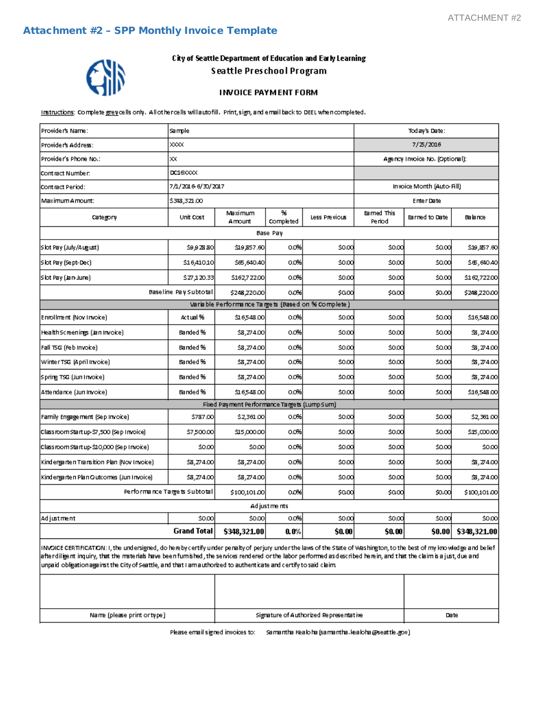<span id="page-18-0"></span>

#### City of Seattle Department of Education and Early Learning Seattle Preschool Program

#### **INVOICE PAYMENT FORM**

Instructions: Complete grevicells only. All othercells will autofill. Print, sign, and email back to DEEL when completed.

| Provider's Name:                                                                                                                                                    | Sample                       |                                                    |                |               | Tod ay's Date:               |                                |              |
|---------------------------------------------------------------------------------------------------------------------------------------------------------------------|------------------------------|----------------------------------------------------|----------------|---------------|------------------------------|--------------------------------|--------------|
| Provider's Address:                                                                                                                                                 | ⋙                            |                                                    |                |               |                              | 7/2016                         |              |
| Provider's Phone No.:                                                                                                                                               | хx                           |                                                    |                |               |                              | Agency Invoice No. (Optional): |              |
| Contract Number:                                                                                                                                                    | DC16XXX                      |                                                    |                |               |                              |                                |              |
| Contract Period:                                                                                                                                                    | 7/1/2016-6/30/2017           |                                                    |                |               |                              | Invoice Month (Auto-Fill)      |              |
| Maximum Amount:                                                                                                                                                     | \$348,321.00                 |                                                    |                |               |                              | Enter Date                     |              |
| Category                                                                                                                                                            | Unit Cost                    | Maximum<br>Amount                                  | ₩<br>Completed | Less Previous | <b>Earned This</b><br>Period | Barned to Date                 | Balance      |
|                                                                                                                                                                     |                              |                                                    | Base Pay       |               |                              |                                |              |
| Slot Pay (July/August)                                                                                                                                              | \$9,928.80                   | \$19,857.60                                        | 0.0%           | \$0.00        | \$0.00                       | \$0.00                         | \$19,857.60  |
| Slot Pay (Sept-Dec)                                                                                                                                                 | \$16,410.10                  | \$65,640.40                                        | O.OH           | \$0.00        | \$0.00                       | \$0.00                         | \$65,640.40  |
| Slot Pay (Jan-June)                                                                                                                                                 | \$27,120.33                  | \$162,722.00                                       | 0.0%           | \$0.00        | \$0.00                       | \$0.00                         | \$162,722.00 |
| Baseline Pay Subtotal<br>0.0%<br>\$248,220.00<br>\$0.00                                                                                                             |                              |                                                    | \$0.00         | \$0.00        | \$248,220.00                 |                                |              |
|                                                                                                                                                                     |                              | Variable Performance Targets (Based on % Complete) |                |               |                              |                                |              |
| Enrollment (Nov Invoice)                                                                                                                                            | Actual%h                     | 회6548.00                                           | 0.0%           | \$0.00        | \$0.00                       | saool                          | \$16,548.00  |
| Health Screenings (Jan Invoice)                                                                                                                                     | Banded %                     | \$8,274.00                                         | 0.0%           | \$0.00        | \$0.00                       | \$0.00                         | \$3,274.00   |
| Fall TSG (Feb Invoice)                                                                                                                                              | Banded %n                    | \$8,274.00                                         | 0.0%           | \$0.00        | \$0.00                       | \$0.00                         | \$3,274.00   |
| Winter TSG (April Invoice)                                                                                                                                          | Banded %                     | \$8,274.00                                         | 0.0%           | \$0.00        | \$0.00                       | \$0.00                         | \$3,274.00   |
| Spring TSG (Jun Invoice)                                                                                                                                            | Banded %                     | \$8,274.00                                         | 0.0%           | \$0.00        | \$0.00                       | \$0.00                         | \$3,274.00   |
| Attendance (Jun Invoice)                                                                                                                                            | Banded %                     | 희 6548.00                                          | 0.0% l         | \$0,00        | \$0.00                       | sacci                          | \$16,548.00  |
|                                                                                                                                                                     |                              | Fixed Payment Performance Targets (Lump Sum)       |                |               |                              |                                |              |
| Family Engagement (Sep Invoice)                                                                                                                                     | \$787.00                     | \$2,361.00                                         | 0.0%           | \$0.00        | \$0.00                       | \$0.00                         | \$2,361.00   |
| Classroom Start up-\$7,500 (Sep Invoice)                                                                                                                            | \$7,500.00                   | <u>회5,000.00</u>                                   | 0.0%           | \$0.00        | \$0.00                       | \$0.00                         | \$15,000,00  |
| Classroom Start up-\$10,000 (Sep Invoice).                                                                                                                          | \$0.00                       | \$0.00                                             | 0.0%           | \$0.00        | \$0.00                       | \$0.00                         | \$0.00       |
| Kindergarten Transition Plan (Nov Invoice)                                                                                                                          | \$8,274.00                   | \$8,274.00                                         | 0.0%           | \$0.00        | \$0.00                       | \$0.00                         | \$3,274.00   |
| Kindergarten Plan Outcomes (Jun Invoice)                                                                                                                            | \$8,274.00                   | \$8,274.00                                         | 0.0%           | \$0.00        | \$0.00                       | \$0.00                         | \$3,274.00   |
|                                                                                                                                                                     | Performance Targets Subtotal | \$100,101.00                                       | 0.0%           | \$0.00        | \$0.00                       | \$0,00                         | \$100,101.00 |
|                                                                                                                                                                     |                              |                                                    | Ad just me nts |               |                              |                                |              |
| Adjustment                                                                                                                                                          | \$0.00                       | \$0.00                                             | 0.0%           | \$0.00        | \$0.00                       | \$0.00)                        | \$0.00       |
|                                                                                                                                                                     | <b>Grand Total</b>           | \$348,321.00                                       | $0.0\%$        | <b>\$0.00</b> | \$0.00                       | \$0.00                         | \$348,321.00 |
| BRAICE CEDITEICATION: Lths undersigned do berefore of the under permits of perium under the law of the State of Washington to the best of mulgreviadors and belief. |                              |                                                    |                |               |                              |                                |              |

indersigned, do hereby certify under penalty of perjury under the laws of the State of V after diligent inquiry, that the materials have been furnished, the services rendered or the labor performed as described herein, and that the claim is a just, due and unpaid obligation against the City of Seattle, and that I am authorized to authenticate and certify to said claim.

| Name (please print or type) | Signature of Authorized Representative | Date |
|-----------------------------|----------------------------------------|------|

Please email signed invoices to: Samantha Kealoha (samantha, lealoha @seattle, gov.)

Τ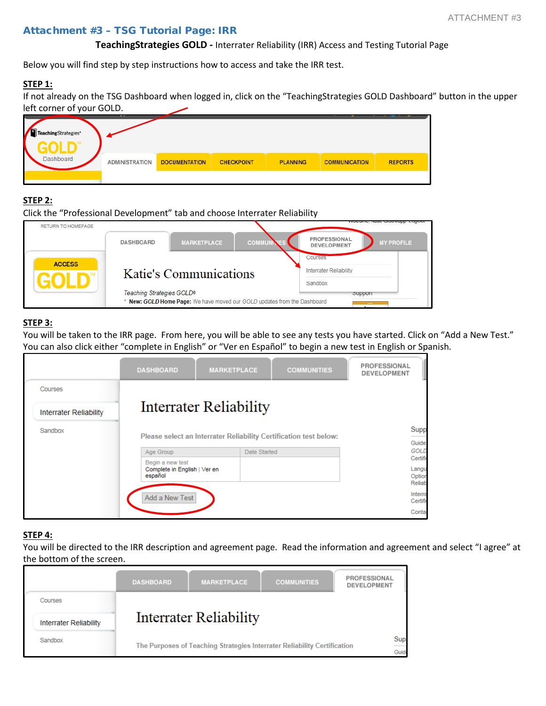#### <span id="page-19-0"></span>Attachment #3 – TSG Tutorial Page: IRR

#### **TeachingStrategies GOLD -** Interrater Reliability (IRR) Access and Testing Tutorial Page

Below you will find step by step instructions how to access and take the IRR test.

#### **STEP 1:**

If not already on the TSG Dashboard when logged in, click on the "TeachingStrategies GOLD Dashboard" button in the upper left corner of your GOLD.

| TeachingStrategies* | . .                   |                      |                   |                 |                      |                |
|---------------------|-----------------------|----------------------|-------------------|-----------------|----------------------|----------------|
| Dashboard           | <b>ADMINISTRATION</b> | <b>DOCUMENTATION</b> | <b>CHECKPOINT</b> | <b>PLANNING</b> | <b>COMMUNICATION</b> | <b>REPORTS</b> |
|                     |                       |                      |                   |                 |                      |                |

#### **STEP 2:**

| Click the "Professional Development" tab and choose Interrater Reliability |                           |                        |                                                                          |                                                         |  |  |
|----------------------------------------------------------------------------|---------------------------|------------------------|--------------------------------------------------------------------------|---------------------------------------------------------|--|--|
| <b>RETURN TO HOMEPAGE</b>                                                  |                           |                        |                                                                          | www.orom                                                |  |  |
|                                                                            | <b>DASHBOARD</b>          | <b>MARKETPLACE</b>     | <b>COMMUN</b>                                                            | PROFESSIONAL<br><b>MY PROFILE</b><br><b>DEVELOPMENT</b> |  |  |
|                                                                            |                           |                        |                                                                          | Courses                                                 |  |  |
| <b>ACCESS</b>                                                              |                           | Katie's Communications | <b>Interrater Reliability</b>                                            |                                                         |  |  |
|                                                                            |                           |                        | Sandbox                                                                  |                                                         |  |  |
|                                                                            | Teaching Strategies GOLD® |                        |                                                                          | <b>Support</b>                                          |  |  |
|                                                                            |                           |                        | * New: GOLD Home Page: We have moved our GOLD updates from the Dashboard | $\sim$                                                  |  |  |

#### **STEP 3:**

You will be taken to the IRR page. From here, you will be able to see any tests you have started. Click on "Add a New Test." You can also click either "complete in English" or "Ver en Español" to begin a new test in English or Spanish.

|                               | <b>DASHBOARD</b>                        | <b>MARKETPLACE</b>                                                | <b>COMMUNITIES</b> | PROFESSIONAL<br><b>DEVELOPMENT</b> |
|-------------------------------|-----------------------------------------|-------------------------------------------------------------------|--------------------|------------------------------------|
| Courses                       |                                         |                                                                   |                    |                                    |
| <b>Interrater Reliability</b> |                                         | Interrater Reliability                                            |                    |                                    |
| Sandbox                       |                                         | Please select an Interrater Reliability Certification test below: |                    | Supp<br>Guide                      |
|                               | Age Group                               | Date Started                                                      |                    | <b>GOLD</b>                        |
|                               | Begin a new test                        |                                                                   |                    | Certific                           |
|                               | Complete in English   Ver en<br>español |                                                                   |                    | Langu<br>Option<br>Reliab          |
|                               | Add a New Test                          |                                                                   |                    | Interra<br>Certific                |
|                               |                                         |                                                                   |                    | Contar                             |

#### **STEP 4:**

You will be directed to the IRR description and agreement page. Read the information and agreement and select "I agree" at the bottom of the screen.

|  |                               | <b>DASHBOARD</b>       | <b>MARKETPLACE</b>                                                       | <b>COMMUNITIES</b> | PROFESSIONAL<br><b>DEVELOPMENT</b> |                                |
|--|-------------------------------|------------------------|--------------------------------------------------------------------------|--------------------|------------------------------------|--------------------------------|
|  | Courses                       |                        |                                                                          |                    |                                    |                                |
|  | <b>Interrater Reliability</b> | Interrater Reliability |                                                                          |                    |                                    |                                |
|  | Sandbox                       |                        | The Purposes of Teaching Strategies Interrater Reliability Certification |                    |                                    | $rac{\text{Sup}}{\text{Guid}}$ |